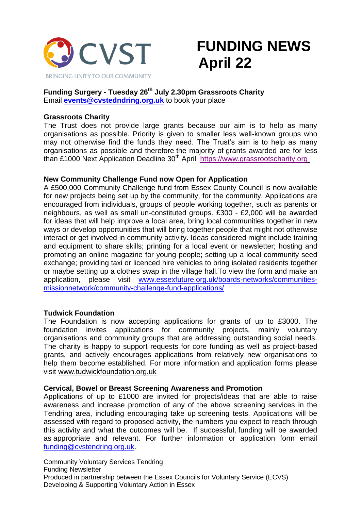

# **FUNDING NEWS April 22**

# **Funding Surgery - Tuesday 26th July 2.30pm Grassroots Charity** Email **[events@cvstedndring.org.uk](mailto:events@cvstedndring.org.uk)** to book your place

# **Grassroots Charity**

The Trust does not provide large grants because our aim is to help as many organisations as possible. Priority is given to smaller less well-known groups who may not otherwise find the funds they need. The Trust's aim is to help as many organisations as possible and therefore the majority of grants awarded are for less than £1000 Next Application Deadline 30<sup>th</sup> April [https://www.grassrootscharity.org](https://cvstendring.us20.list-manage.com/track/click?u=211fe0c8e76132fd8ca78bce1&id=0723ca3154&e=f8c4896446)

# **New Community Challenge Fund now Open for Application**

A £500,000 Community Challenge fund from Essex County Council is now available for new projects being set up by the community, for the community. Applications are encouraged from individuals, groups of people working together, such as parents or neighbours, as well as small un-constituted groups. £300 - £2,000 will be awarded for ideas that will help improve a local area, bring local communities together in new ways or develop opportunities that will bring together people that might not otherwise interact or get involved in community activity. Ideas considered might include training and equipment to share skills; printing for a local event or newsletter; hosting and promoting an online magazine for young people; setting up a local community seed exchange; providing taxi or licenced hire vehicles to bring isolated residents together or maybe setting up a clothes swap in the village hall.To view the form and make an application, please visit [www.essexfuture.org.uk/boards-networks/communities](http://www.essexfuture.org.uk/boards-networks/communities-missionnetwork/community-challenge-fund-applications/)[missionnetwork/community-challenge-fund-applications/](http://www.essexfuture.org.uk/boards-networks/communities-missionnetwork/community-challenge-fund-applications/)

# **Tudwick Foundation**

The Foundation is now accepting applications for grants of up to £3000. The foundation invites applications for community projects, mainly voluntary organisations and community groups that are addressing outstanding social needs. The charity is happy to support requests for core funding as well as project-based grants, and actively encourages applications from relatively new organisations to help them become established. For more information and application forms please visit [www.tudwickfoundation.org.uk](http://www.tudwickfoundation.org.uk/)

# **Cervical, Bowel or Breast Screening Awareness and Promotion**

Applications of up to £1000 are invited for projects/ideas that are able to raise awareness and increase promotion of any of the above screening services in the Tendring area, including encouraging take up screening tests. Applications will be assessed with regard to proposed activity, the numbers you expect to reach through this activity and what the outcomes will be. If successful, funding will be awarded as appropriate and relevant. For further information or application form email [funding@cvstendring.org.uk.](mailto:funding@cvstendring.org.uk)

Community Voluntary Services Tendring Funding Newsletter Produced in partnership between the Essex Councils for Voluntary Service (ECVS) Developing & Supporting Voluntary Action in Essex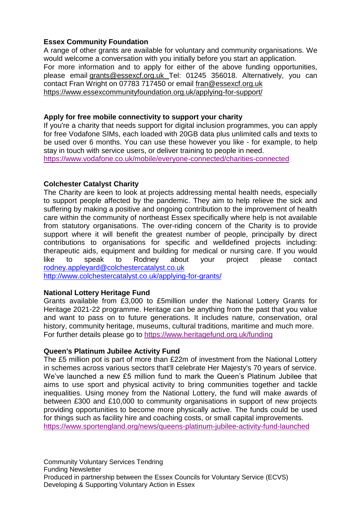# **Essex Community Foundation**

A range of other grants are available for voluntary and community organisations. We would welcome a conversation with you initially before you start an application. For more information and to apply for either of the above funding opportunities, please email [grants@essexcf.org.uk](http://grants@essexcf.org.uk/) Tel: 01245 356018. Alternatively, you can contact Fran Wright on 07783 717450 or email [fran@essexcf.org.uk](mailto:fran@essexcf.org.uk) <https://www.essexcommunityfoundation.org.uk/applying-for-support/>

# **Apply for free mobile connectivity to support your charity**

If you're a charity that needs support for digital inclusion programmes, you can apply for free Vodafone SIMs, each loaded with 20GB data plus unlimited calls and texts to be used over 6 months. You can use these however you like - for example, to help stay in touch with service users, or deliver training to people in need.

<https://www.vodafone.co.uk/mobile/everyone-connected/charities-connected>

# **Colchester Catalyst Charity**

The Charity are keen to look at projects addressing mental health needs, especially to support people affected by the pandemic. They aim to help relieve the sick and suffering by making a positive and ongoing contribution to the improvement of health care within the community of northeast Essex specifically where help is not available from statutory organisations. The over-riding concern of the Charity is to provide support where it will benefit the greatest number of people, principally by direct contributions to organisations for specific and welldefined projects including: therapeutic aids, equipment and building for medical or nursing care. If you would like to speak to Rodney about your project please contact [rodney.appleyard@colchestercatalyst.co.uk](mailto:rodney.appleyard@colchestercatalyst.co.uk) <http://www.colchestercatalyst.co.uk/applying-for-grants/>

# **National Lottery Heritage Fund**

Grants available from £3,000 to £5million under the National Lottery Grants for Heritage 2021-22 programme. Heritage can be anything from the past that you value and want to pass on to future generations. It includes nature, conservation, oral history, community heritage, museums, cultural traditions, maritime and [much](https://www.heritagefund.org.uk/funding/what-we-fund) more. For further details please go to <https://www.heritagefund.org.uk/funding>

# **Queen's Platinum Jubilee Activity Fund**

The £5 million pot is part of more than £22m of investment from the National Lottery in schemes across various sectors that'll celebrate Her Majesty's 70 years of service. We've launched a new £5 million fund to mark the Queen's Platinum Jubilee that aims to use sport and physical activity to bring communities together and tackle inequalities. Using money from the National Lottery, the fund will make awards of between £300 and £10,000 to community organisations in support of new projects providing opportunities to become more physically active. The funds could be used for things such as facility hire and coaching costs, or small capital improvements. <https://www.sportengland.org/news/queens-platinum-jubilee-activity-fund-launched>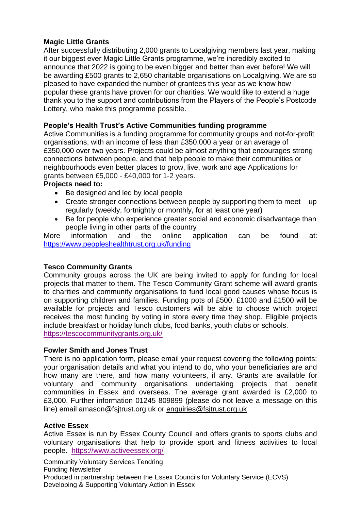# **Magic Little Grants**

After successfully distributing 2,000 grants to Localgiving members last year, making it our biggest ever Magic Little Grants programme, we're incredibly excited to announce that 2022 is going to be even bigger and better than ever before! We will be awarding £500 grants to 2,650 charitable organisations on Localgiving. We are so pleased to have expanded the number of grantees this year as we know how popular these grants have proven for our charities. We would like to extend a huge thank you to the support and contributions from the Players of the People's Postcode Lottery, who make this programme possible.

# **People's Health Trust's Active Communities funding programme**

Active Communities is a funding programme for community groups and not-for-profit organisations, with an income of less than £350,000 a year or an average of £350,000 over two years. Projects could be almost anything that encourages strong connections between people, and that help people to make their communities or neighbourhoods even better places to grow, live, work and age Applications for grants between £5,000 - £40,000 for 1-2 years.

# **Projects need to:**

- Be designed and led by local people
- Create stronger connections between people by supporting them to meet up regularly (weekly, fortnightly or monthly, for at least one year)
- Be for people who experience greater social and economic disadvantage than people living in other parts of the country<br>information and the online are

More information and the online application can be found at: <https://www.peopleshealthtrust.org.uk/funding>

# **Tesco Community Grants**

Community groups across the UK are being invited to apply for funding for local projects that matter to them. The Tesco Community Grant scheme will award grants to charities and community organisations to fund local good causes whose focus is on supporting children and families. Funding pots of £500, £1000 and £1500 will be available for projects and Tesco customers will be able to choose which project receives the most funding by voting in store every time they shop. Eligible projects include breakfast or holiday lunch clubs, food banks, youth clubs or schools. <https://tescocommunitygrants.org.uk/>

# **Fowler Smith and Jones Trust**

There is no application form, please email your request covering the following points: your organisation details and what you intend to do, who your beneficiaries are and how many are there, and how many volunteers, if any. Grants are available for voluntary and community organisations undertaking projects that benefit communities in Essex and overseas. The average grant awarded is £2,000 to £3,000. Further information 01245 809899 (please do not leave a message on this line) email amason@fsjtrust.org.uk or [enquiries@fsjtrust.org.uk](mailto:enquiries@fsjtrust.org.uk)

# **Active Essex**

Active Essex is run by Essex County Council and offers grants to sports clubs and voluntary organisations that help to provide sport and fitness activities to local people. <https://www.activeessex.org/>

Community Voluntary Services Tendring Funding Newsletter Produced in partnership between the Essex Councils for Voluntary Service (ECVS) Developing & Supporting Voluntary Action in Essex